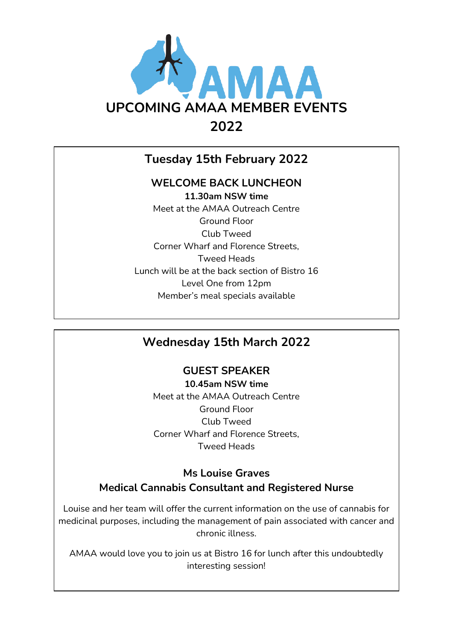

# **Tuesday 15th February 2022**

## **WELCOME BACK LUNCHEON**

**11.30am NSW time** Meet at the AMAA Outreach Centre Ground Floor Club Tweed Corner Wharf and Florence Streets, Tweed Heads Lunch will be at the back section of Bistro 16 Level One from 12pm Member's meal specials available

# **Wednesday 15th March 2022**

## **GUEST SPEAKER**

**10.45am NSW time** Meet at the AMAA Outreach Centre Ground Floor Club Tweed Corner Wharf and Florence Streets, Tweed Heads

# **Ms Louise Graves Medical Cannabis Consultant and Registered Nurse**

Louise and her team will offer the current information on the use of cannabis for medicinal purposes, including the management of pain associated with cancer and chronic illness.

AMAA would love you to join us at Bistro 16 for lunch after this undoubtedly interesting session!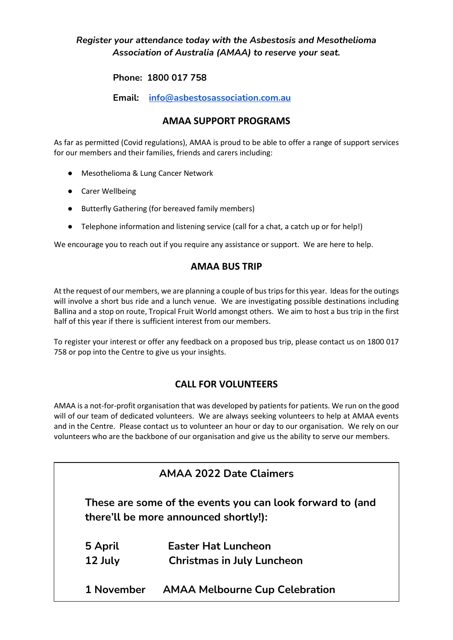### *Register your attendance today with the Asbestosis and Mesothelioma Association of Australia (AMAA) to reserve your seat.*

#### **Phone: 1800 017 758**

**Email: [info@asbestosassociation.com.au](mailto:info@asbestosassociation.com.au)**

### **AMAA SUPPORT PROGRAMS**

As far as permitted (Covid regulations), AMAA is proud to be able to offer a range of support services for our members and their families, friends and carers including:

- Mesothelioma & Lung Cancer Network
- Carer Wellbeing
- Butterfly Gathering (for bereaved family members)
- Telephone information and listening service (call for a chat, a catch up or for help!)

We encourage you to reach out if you require any assistance or support. We are here to help.

#### **AMAA BUS TRIP**

At the request of our members, we are planning a couple of bustripsfor this year. Ideas for the outings will involve a short bus ride and a lunch venue. We are investigating possible destinations including Ballina and a stop on route, Tropical Fruit World amongst others. We aim to host a bus trip in the first half of this year if there is sufficient interest from our members.

To register your interest or offer any feedback on a proposed bus trip, please contact us on 1800 017 758 or pop into the Centre to give us your insights.

#### **CALL FOR VOLUNTEERS**

AMAA is a not-for-profit organisation that was developed by patients for patients. We run on the good will of our team of dedicated volunteers. We are always seeking volunteers to help at AMAA events and in the Centre. Please contact us to volunteer an hour or day to our organisation. We rely on our volunteers who are the backbone of our organisation and give us the ability to serve our members.

| <b>AMAA 2022 Date Claimers</b> |                                                                                                    |  |
|--------------------------------|----------------------------------------------------------------------------------------------------|--|
|                                | These are some of the events you can look forward to (and<br>there'll be more announced shortly!): |  |
| 5 April                        | <b>Easter Hat Luncheon</b>                                                                         |  |
| 12 July                        | <b>Christmas in July Luncheon</b>                                                                  |  |
| 1 November                     | <b>AMAA Melbourne Cup Celebration</b>                                                              |  |